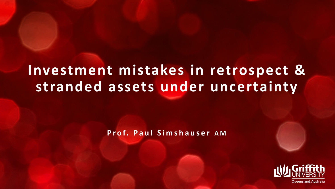# **Investment mistakes in retrospect & stranded assets under uncertainty**

**Prof. Paul Simshauser A M**

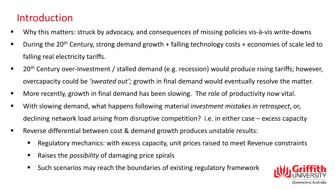## Introduction

- Why this matters: struck by advocacy, and consequences of missing policies vis-à-vis write-downs
- **During the 20<sup>th</sup> Century, strong demand growth + falling technology costs + economies of scale led to** falling real electricity tariffs.
- 20<sup>th</sup> Century over-Investment / stalled demand (e.g. recession) would produce rising tariffs; however, overcapacity could be *'sweated out';* growth in final demand would eventually resolve the matter.
- More recently, growth in final demand has been slowing. The role of productivity now vital.
- With slowing demand, what happens following material *investment mistakes in retrospect*, or, declining network load arising from disruptive competition? i.e. in either case – excess capacity
- Reverse differential between cost & demand growth produces unstable results:
	- **Regulatory mechanics: with excess capacity, unit prices raised to meet Revenue constraints**
	- Raises the *possibility* of damaging price spirals
	- Such scenarios may reach the boundaries of existing regulatory framework

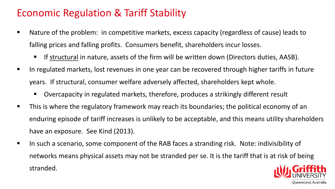### Economic Regulation & Tariff Stability

- Nature of the problem: in competitive markets, excess capacity (regardless of cause) leads to falling prices and falling profits. Consumers benefit, shareholders incur losses.
	- If structural in nature, assets of the firm will be written down (Directors duties, AASB).
- In regulated markets, lost revenues in one year can be recovered through higher tariffs in future years. If structural, consumer welfare adversely affected, shareholders kept whole.
	- Overcapacity in regulated markets, therefore, produces a strikingly different result
- **This is where the regulatory framework may reach its boundaries; the political economy of an** enduring episode of tariff increases is unlikely to be acceptable, and this means utility shareholders have an exposure. See Kind (2013).
- In such a scenario, some component of the RAB faces a stranding risk. Note: indivisibility of networks means physical assets may not be stranded per se. It is the tariff that is at risk of being stranded.

Oueensland. Australia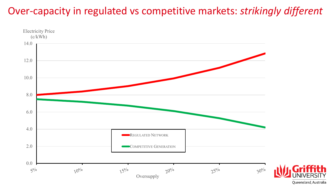## Over-capacity in regulated vs competitive markets: *strikingly different*



Queensland, Australia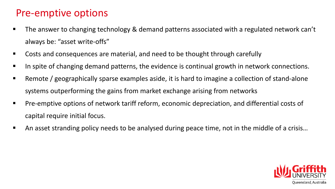### Pre-emptive options

- The answer to changing technology & demand patterns associated with a regulated network can't always be: "asset write-offs"
- Costs and consequences are material, and need to be thought through carefully
- In spite of changing demand patterns, the evidence is continual growth in network connections.
- Remote / geographically sparse examples aside, it is hard to imagine a collection of stand-alone systems outperforming the gains from market exchange arising from networks
- Pre-emptive options of network tariff reform, economic depreciation, and differential costs of capital require initial focus.
- An asset stranding policy needs to be analysed during peace time, not in the middle of a crisis…

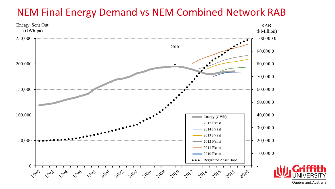## NEM Final Energy Demand vs NEM Combined Network RAB



Queensland, Australia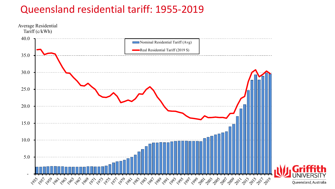### Queensland residential tariff: 1955-2019

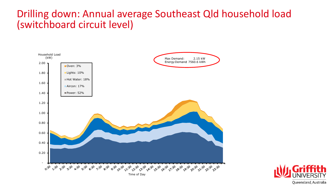#### Drilling down: Annual average Southeast Qld household load (switchboard circuit level)



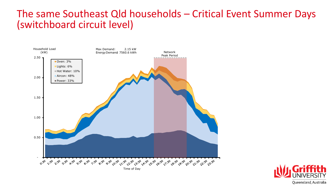#### The same Southeast Qld households – Critical Event Summer Days (switchboard circuit level)



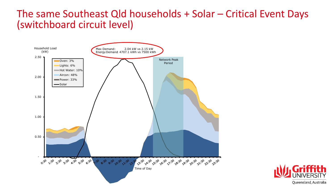#### The same Southeast Qld households + Solar – Critical Event Days (switchboard circuit level)



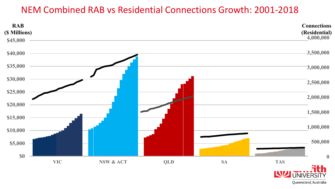#### NEM Combined RAB vs Residential Connections Growth: 2001-2018



Queensland, Australia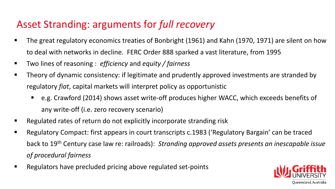## Asset Stranding: arguments for *full recovery*

- The great regulatory economics treaties of Bonbright (1961) and Kahn (1970, 1971) are silent on how to deal with networks in decline. FERC Order 888 sparked a vast literature, from 1995
- Two lines of reasoning : *efficiency* and *equity / fairness*
- **Theory of dynamic consistency: if legitimate and prudently approved investments are stranded by** regulatory *fiat*, capital markets will interpret policy as opportunistic
	- e.g. Crawford (2014) shows asset write-off produces higher WACC, which exceeds benefits of any write-off (i.e. zero recovery scenario)
- Regulated rates of return do not explicitly incorporate stranding risk
- Regulatory Compact: first appears in court transcripts c.1983 ('Regulatory Bargain' can be traced back to 19th Century case law re: railroads): *Stranding approved assets presents an inescapable issue of procedural fairness*
- Regulators have precluded pricing above regulated set-points

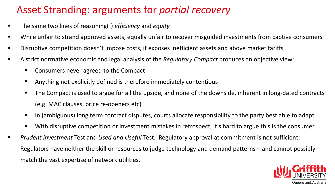# Asset Stranding: arguments for *partial recovery*

- The same two lines of reasoning(!) *efficiency* and *equity*
- While unfair to strand approved assets, equally unfair to recover misguided investments from captive consumers
- Disruptive competition doesn't impose costs, it exposes inefficient assets and above market tariffs
- A strict normative economic and legal analysis of the *Regulatory Compact* produces an objective view:
	- Consumers never agreed to the Compact
	- Anything not explicitly defined is therefore immediately contentious
	- The Compact is used to argue for all the upside, and none of the downside, inherent in long-dated contracts (e.g. MAC clauses, price re-openers etc)
	- In (ambiguous) long term contract disputes, courts allocate responsibility to the party best able to adapt.
	- With disruptive competition or investment mistakes in retrospect, it's hard to argue this is the consumer
- *Prudent Investment* Test and *Used and Useful* Test. Regulatory approval at commitment is not sufficient: Regulators have neither the skill or resources to judge technology and demand patterns – and cannot possibly match the vast expertise of network utilities.

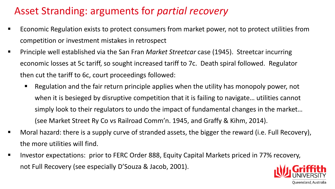## Asset Stranding: arguments for *partial recovery*

- Economic Regulation exists to protect consumers from market power, not to protect utilities from competition or investment mistakes in retrospect
- Principle well established via the San Fran *Market Streetcar* case (1945). Streetcar incurring economic losses at 5c tariff, so sought increased tariff to 7c. Death spiral followed. Regulator then cut the tariff to 6c, court proceedings followed:
	- Regulation and the fair return principle applies when the utility has monopoly power, not when it is besieged by disruptive competition that it is failing to navigate… utilities cannot simply look to their regulators to undo the impact of fundamental changes in the market… (see Market Street Ry Co vs Railroad Comm'n. 1945, and Graffy & Kihm, 2014).
- Moral hazard: there is a supply curve of stranded assets, the bigger the reward (i.e. Full Recovery), the more utilities will find.
- Investor expectations: prior to FERC Order 888, Equity Capital Markets priced in 77% recovery, not Full Recovery (see especially D'Souza & Jacob, 2001).

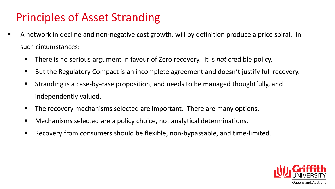# Principles of Asset Stranding

- A network in decline and non-negative cost growth, will by definition produce a price spiral. In such circumstances:
	- There is no serious argument in favour of Zero recovery. It is *not* credible policy.
	- But the Regulatory Compact is an incomplete agreement and doesn't justify full recovery.
	- Stranding is a case-by-case proposition, and needs to be managed thoughtfully, and independently valued.
	- **The recovery mechanisms selected are important. There are many options.**
	- Mechanisms selected are a policy choice, not analytical determinations.
	- Recovery from consumers should be flexible, non-bypassable, and time-limited.

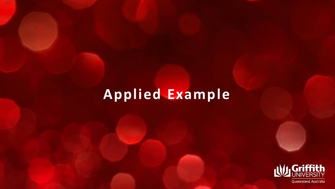# **Applied Example**

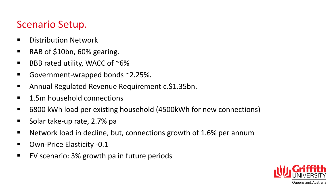#### Scenario Setup.

- **Distribution Network**
- RAB of \$10bn, 60% gearing.
- **BBB rated utility, WACC of**  $\sim$  **6%**
- Government-wrapped bonds ~2.25%.
- Annual Regulated Revenue Requirement c.\$1.35bn.
- 1.5m household connections
- 6800 kWh load per existing household (4500kWh for new connections)
- Solar take-up rate, 2.7% pa
- Network load in decline, but, connections growth of 1.6% per annum
- Own-Price Elasticity -0.1
- EV scenario: 3% growth pa in future periods

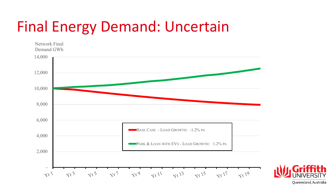# Final Energy Demand: Uncertain



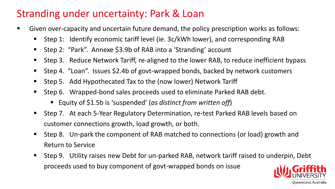## Stranding under uncertainty: Park & Loan

- Given over-capacity and uncertain future demand, the policy prescription works as follows:
	- Step 1: Identify economic tariff level (ie. 3c/kWh lower), and corresponding RAB
	- Step 2: "Park". Annexe \$3.9b of RAB into a 'Stranding' account
	- Step 3. Reduce Network Tariff, re-aligned to the lower RAB, to reduce inefficient bypass
	- Step 4. "Loan". Issues \$2.4b of govt-wrapped bonds, backed by network customers
	- Step 5. Add Hypothecated Tax to the (now lower) Network Tariff
	- Step 6. Wrapped-bond sales proceeds used to eliminate Parked RAB debt.
		- Equity of \$1.5b is 'suspended' (*as distinct from written off*)
	- Step 7. At each 5-Year Regulatory Determination, re-test Parked RAB levels based on customer connections growth, load growth, or both.
	- Step 8. Un-park the component of RAB matched to connections (or load) growth and Return to Service
	- Step 9. Utility raises new Debt for un-parked RAB, network tariff raised to underpin, Debt proceeds used to buy component of govt-wrapped bonds on issue

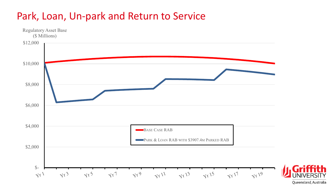#### Park, Loan, Un-park and Return to Service



Queensland, Australia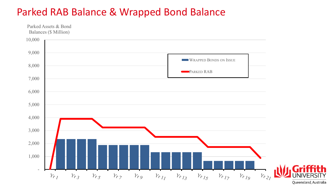#### Parked RAB Balance & Wrapped Bond Balance

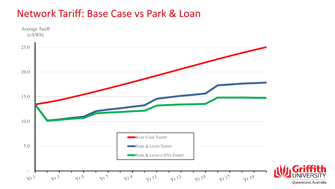#### Network Tariff: Base Case vs Park & Loan

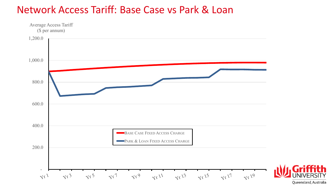#### Network Access Tariff: Base Case vs Park & Loan

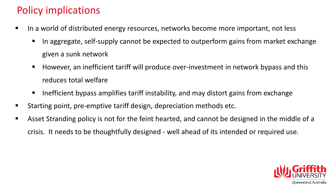# Policy implications

- I In a world of distributed energy resources, networks become more important, not less
	- In aggregate, self-supply cannot be expected to outperform gains from market exchange given a sunk network
	- However, an inefficient tariff will produce over-investment in network bypass and this reduces total welfare
	- Inefficient bypass amplifies tariff instability, and may distort gains from exchange
- Starting point, pre-emptive tariff design, depreciation methods etc.
- **Asset Stranding policy is not for the feint hearted, and cannot be designed in the middle of a** crisis. It needs to be thoughtfully designed - well ahead of its intended or required use.

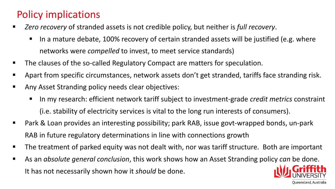## Policy implications

- *Zero recovery* of stranded assets is not credible policy, but neither is *full recovery*.
	- In a mature debate, 100% recovery of certain stranded assets will be justified (e.g. where networks were *compelled* to invest, to meet service standards)
- **The clauses of the so-called Regulatory Compact are matters for speculation.**
- **Apart from specific circumstances, network assets don't get stranded, tariffs face stranding risk.**
- **Any Asset Stranding policy needs clear objectives:** 
	- In my research: efficient network tariff subject to investment-grade *credit metrics* constraint (i.e. stability of electricity services is vital to the long run interests of consumers).

Oueensland. Australia

- Park & Loan provides an interesting possibility; park RAB, issue govt-wrapped bonds, un-park RAB in future regulatory determinations in line with connections growth
- **The treatment of parked equity was not dealt with, nor was tariff structure. Both are important**
- As an *absolute general conclusion*, this work shows how an Asset Stranding policy *can* be done. It has not necessarily shown how it *should* be done.